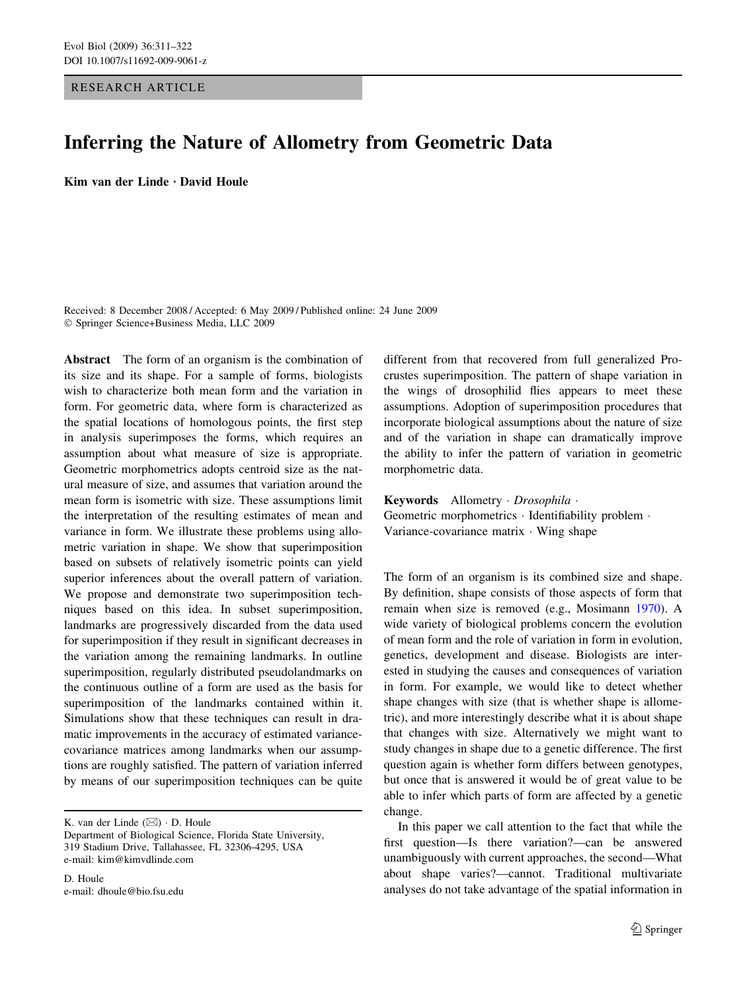RESEARCH ARTICLE

# Inferring the Nature of Allometry from Geometric Data

Kim van der Linde  $\cdot$  David Houle

Received: 8 December 2008 / Accepted: 6 May 2009 / Published online: 24 June 2009 Springer Science+Business Media, LLC 2009

Abstract The form of an organism is the combination of its size and its shape. For a sample of forms, biologists wish to characterize both mean form and the variation in form. For geometric data, where form is characterized as the spatial locations of homologous points, the first step in analysis superimposes the forms, which requires an assumption about what measure of size is appropriate. Geometric morphometrics adopts centroid size as the natural measure of size, and assumes that variation around the mean form is isometric with size. These assumptions limit the interpretation of the resulting estimates of mean and variance in form. We illustrate these problems using allometric variation in shape. We show that superimposition based on subsets of relatively isometric points can yield superior inferences about the overall pattern of variation. We propose and demonstrate two superimposition techniques based on this idea. In subset superimposition, landmarks are progressively discarded from the data used for superimposition if they result in significant decreases in the variation among the remaining landmarks. In outline superimposition, regularly distributed pseudolandmarks on the continuous outline of a form are used as the basis for superimposition of the landmarks contained within it. Simulations show that these techniques can result in dramatic improvements in the accuracy of estimated variancecovariance matrices among landmarks when our assumptions are roughly satisfied. The pattern of variation inferred by means of our superimposition techniques can be quite

K. van der Linde  $(\boxtimes) \cdot$  D. Houle

Department of Biological Science, Florida State University, 319 Stadium Drive, Tallahassee, FL 32306-4295, USA e-mail: kim@kimvdlinde.com

D. Houle e-mail: dhoule@bio.fsu.edu different from that recovered from full generalized Procrustes superimposition. The pattern of shape variation in the wings of drosophilid flies appears to meet these assumptions. Adoption of superimposition procedures that incorporate biological assumptions about the nature of size and of the variation in shape can dramatically improve the ability to infer the pattern of variation in geometric morphometric data.

Keywords Allometry · Drosophila · Geometric morphometrics · Identifiability problem · Variance-covariance matrix  $\cdot$  Wing shape

The form of an organism is its combined size and shape. By definition, shape consists of those aspects of form that remain when size is removed (e.g., Mosimann [1970\)](#page-11-0). A wide variety of biological problems concern the evolution of mean form and the role of variation in form in evolution, genetics, development and disease. Biologists are interested in studying the causes and consequences of variation in form. For example, we would like to detect whether shape changes with size (that is whether shape is allometric), and more interestingly describe what it is about shape that changes with size. Alternatively we might want to study changes in shape due to a genetic difference. The first question again is whether form differs between genotypes, but once that is answered it would be of great value to be able to infer which parts of form are affected by a genetic change.

In this paper we call attention to the fact that while the first question—Is there variation?—can be answered unambiguously with current approaches, the second—What about shape varies?—cannot. Traditional multivariate analyses do not take advantage of the spatial information in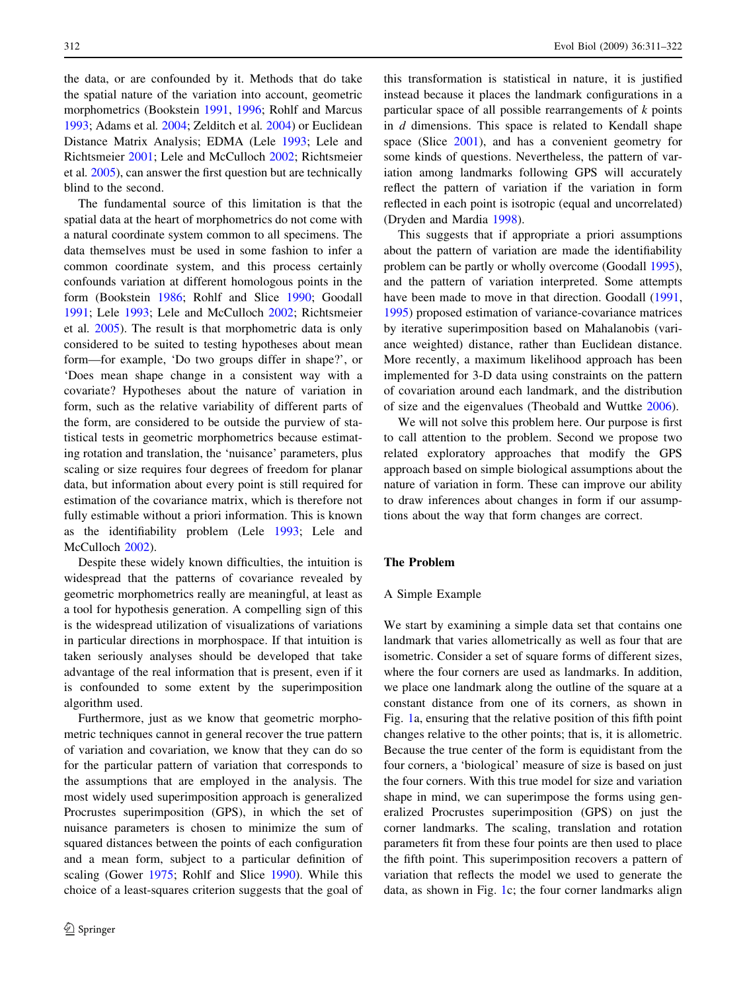the data, or are confounded by it. Methods that do take the spatial nature of the variation into account, geometric morphometrics (Bookstein [1991,](#page-11-0) [1996;](#page-11-0) Rohlf and Marcus [1993;](#page-11-0) Adams et al. [2004](#page-11-0); Zelditch et al. [2004](#page-11-0)) or Euclidean Distance Matrix Analysis; EDMA (Lele [1993;](#page-11-0) Lele and Richtsmeier [2001;](#page-11-0) Lele and McCulloch [2002;](#page-11-0) Richtsmeier et al. [2005](#page-11-0)), can answer the first question but are technically blind to the second.

The fundamental source of this limitation is that the spatial data at the heart of morphometrics do not come with a natural coordinate system common to all specimens. The data themselves must be used in some fashion to infer a common coordinate system, and this process certainly confounds variation at different homologous points in the form (Bookstein [1986;](#page-11-0) Rohlf and Slice [1990](#page-11-0); Goodall [1991;](#page-11-0) Lele [1993](#page-11-0); Lele and McCulloch [2002](#page-11-0); Richtsmeier et al. [2005\)](#page-11-0). The result is that morphometric data is only considered to be suited to testing hypotheses about mean form—for example, 'Do two groups differ in shape?', or 'Does mean shape change in a consistent way with a covariate? Hypotheses about the nature of variation in form, such as the relative variability of different parts of the form, are considered to be outside the purview of statistical tests in geometric morphometrics because estimating rotation and translation, the 'nuisance' parameters, plus scaling or size requires four degrees of freedom for planar data, but information about every point is still required for estimation of the covariance matrix, which is therefore not fully estimable without a priori information. This is known as the identifiability problem (Lele [1993;](#page-11-0) Lele and McCulloch [2002](#page-11-0)).

Despite these widely known difficulties, the intuition is widespread that the patterns of covariance revealed by geometric morphometrics really are meaningful, at least as a tool for hypothesis generation. A compelling sign of this is the widespread utilization of visualizations of variations in particular directions in morphospace. If that intuition is taken seriously analyses should be developed that take advantage of the real information that is present, even if it is confounded to some extent by the superimposition algorithm used.

Furthermore, just as we know that geometric morphometric techniques cannot in general recover the true pattern of variation and covariation, we know that they can do so for the particular pattern of variation that corresponds to the assumptions that are employed in the analysis. The most widely used superimposition approach is generalized Procrustes superimposition (GPS), in which the set of nuisance parameters is chosen to minimize the sum of squared distances between the points of each configuration and a mean form, subject to a particular definition of scaling (Gower [1975](#page-11-0); Rohlf and Slice [1990\)](#page-11-0). While this choice of a least-squares criterion suggests that the goal of

this transformation is statistical in nature, it is justified instead because it places the landmark configurations in a particular space of all possible rearrangements of  $k$  points in d dimensions. This space is related to Kendall shape space (Slice [2001](#page-11-0)), and has a convenient geometry for some kinds of questions. Nevertheless, the pattern of variation among landmarks following GPS will accurately reflect the pattern of variation if the variation in form reflected in each point is isotropic (equal and uncorrelated) (Dryden and Mardia [1998\)](#page-11-0).

This suggests that if appropriate a priori assumptions about the pattern of variation are made the identifiability problem can be partly or wholly overcome (Goodall [1995](#page-11-0)), and the pattern of variation interpreted. Some attempts have been made to move in that direction. Goodall ([1991,](#page-11-0) [1995](#page-11-0)) proposed estimation of variance-covariance matrices by iterative superimposition based on Mahalanobis (variance weighted) distance, rather than Euclidean distance. More recently, a maximum likelihood approach has been implemented for 3-D data using constraints on the pattern of covariation around each landmark, and the distribution of size and the eigenvalues (Theobald and Wuttke [2006\)](#page-11-0).

We will not solve this problem here. Our purpose is first to call attention to the problem. Second we propose two related exploratory approaches that modify the GPS approach based on simple biological assumptions about the nature of variation in form. These can improve our ability to draw inferences about changes in form if our assumptions about the way that form changes are correct.

# The Problem

#### A Simple Example

We start by examining a simple data set that contains one landmark that varies allometrically as well as four that are isometric. Consider a set of square forms of different sizes, where the four corners are used as landmarks. In addition, we place one landmark along the outline of the square at a constant distance from one of its corners, as shown in Fig. [1](#page-2-0)a, ensuring that the relative position of this fifth point changes relative to the other points; that is, it is allometric. Because the true center of the form is equidistant from the four corners, a 'biological' measure of size is based on just the four corners. With this true model for size and variation shape in mind, we can superimpose the forms using generalized Procrustes superimposition (GPS) on just the corner landmarks. The scaling, translation and rotation parameters fit from these four points are then used to place the fifth point. This superimposition recovers a pattern of variation that reflects the model we used to generate the data, as shown in Fig. [1c](#page-2-0); the four corner landmarks align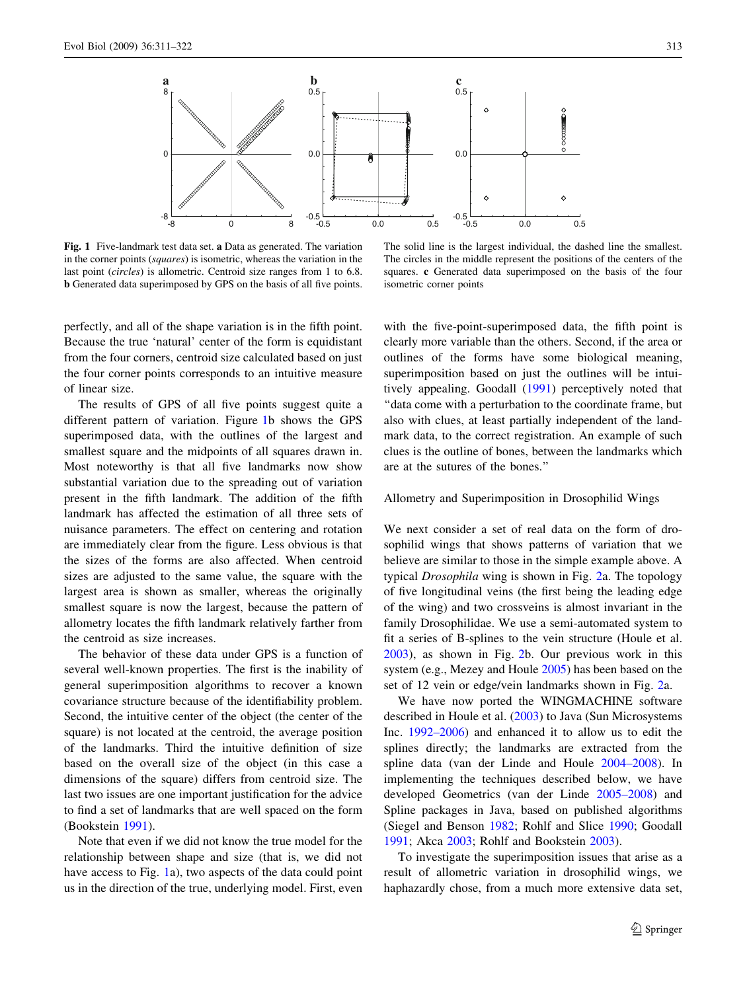<span id="page-2-0"></span>

Fig. 1 Five-landmark test data set. a Data as generated. The variation in the corner points (squares) is isometric, whereas the variation in the last point (circles) is allometric. Centroid size ranges from 1 to 6.8. b Generated data superimposed by GPS on the basis of all five points.

The solid line is the largest individual, the dashed line the smallest. The circles in the middle represent the positions of the centers of the squares. c Generated data superimposed on the basis of the four isometric corner points

perfectly, and all of the shape variation is in the fifth point. Because the true 'natural' center of the form is equidistant from the four corners, centroid size calculated based on just the four corner points corresponds to an intuitive measure of linear size.

The results of GPS of all five points suggest quite a different pattern of variation. Figure 1b shows the GPS superimposed data, with the outlines of the largest and smallest square and the midpoints of all squares drawn in. Most noteworthy is that all five landmarks now show substantial variation due to the spreading out of variation present in the fifth landmark. The addition of the fifth landmark has affected the estimation of all three sets of nuisance parameters. The effect on centering and rotation are immediately clear from the figure. Less obvious is that the sizes of the forms are also affected. When centroid sizes are adjusted to the same value, the square with the largest area is shown as smaller, whereas the originally smallest square is now the largest, because the pattern of allometry locates the fifth landmark relatively farther from the centroid as size increases.

The behavior of these data under GPS is a function of several well-known properties. The first is the inability of general superimposition algorithms to recover a known covariance structure because of the identifiability problem. Second, the intuitive center of the object (the center of the square) is not located at the centroid, the average position of the landmarks. Third the intuitive definition of size based on the overall size of the object (in this case a dimensions of the square) differs from centroid size. The last two issues are one important justification for the advice to find a set of landmarks that are well spaced on the form (Bookstein [1991](#page-11-0)).

Note that even if we did not know the true model for the relationship between shape and size (that is, we did not have access to Fig. 1a), two aspects of the data could point us in the direction of the true, underlying model. First, even with the five-point-superimposed data, the fifth point is clearly more variable than the others. Second, if the area or outlines of the forms have some biological meaning, superimposition based on just the outlines will be intuitively appealing. Goodall [\(1991\)](#page-11-0) perceptively noted that ''data come with a perturbation to the coordinate frame, but also with clues, at least partially independent of the landmark data, to the correct registration. An example of such clues is the outline of bones, between the landmarks which are at the sutures of the bones.''

# Allometry and Superimposition in Drosophilid Wings

We next consider a set of real data on the form of drosophilid wings that shows patterns of variation that we believe are similar to those in the simple example above. A typical Drosophila wing is shown in Fig. [2](#page-3-0)a. The topology of five longitudinal veins (the first being the leading edge of the wing) and two crossveins is almost invariant in the family Drosophilidae. We use a semi-automated system to fit a series of B-splines to the vein structure (Houle et al. [2003](#page-11-0)), as shown in Fig. [2b](#page-3-0). Our previous work in this system (e.g., Mezey and Houle [2005\)](#page-11-0) has been based on the set of 12 vein or edge/vein landmarks shown in Fig. [2a](#page-3-0).

We have now ported the WINGMACHINE software described in Houle et al. [\(2003](#page-11-0)) to Java (Sun Microsystems Inc. [1992–2006\)](#page-11-0) and enhanced it to allow us to edit the splines directly; the landmarks are extracted from the spline data (van der Linde and Houle [2004–2008](#page-11-0)). In implementing the techniques described below, we have developed Geometrics (van der Linde [2005–2008\)](#page-11-0) and Spline packages in Java, based on published algorithms (Siegel and Benson [1982](#page-11-0); Rohlf and Slice [1990](#page-11-0); Goodall [1991](#page-11-0); Akca [2003;](#page-11-0) Rohlf and Bookstein [2003](#page-11-0)).

To investigate the superimposition issues that arise as a result of allometric variation in drosophilid wings, we haphazardly chose, from a much more extensive data set,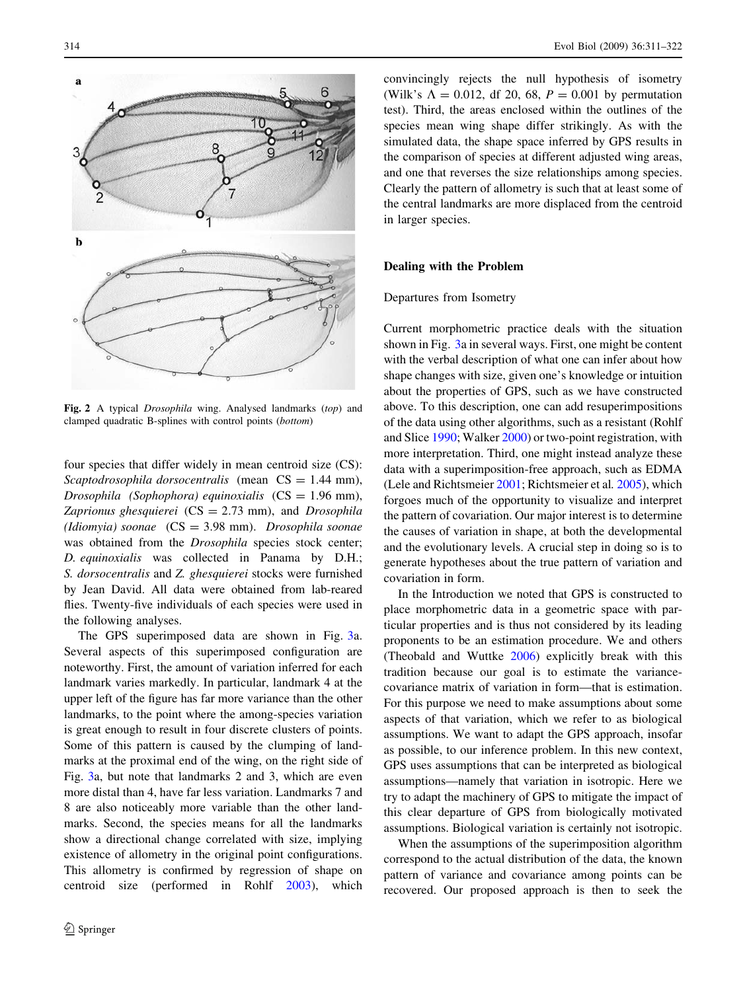<span id="page-3-0"></span>

Fig. 2 A typical Drosophila wing. Analysed landmarks (top) and clamped quadratic B-splines with control points (bottom)

four species that differ widely in mean centroid size (CS): Scaptodrosophila dorsocentralis (mean  $CS = 1.44$  mm), Drosophila (Sophophora) equinoxialis  $(CS = 1.96$  mm), Zaprionus ghesquierei  $(CS = 2.73$  mm), and Drosophila (Idiomyia) soonae  $(CS = 3.98$  mm). Drosophila soonae was obtained from the Drosophila species stock center; D. equinoxialis was collected in Panama by D.H.; S. dorsocentralis and Z. ghesquierei stocks were furnished by Jean David. All data were obtained from lab-reared flies. Twenty-five individuals of each species were used in the following analyses.

The GPS superimposed data are shown in Fig. [3](#page-4-0)a. Several aspects of this superimposed configuration are noteworthy. First, the amount of variation inferred for each landmark varies markedly. In particular, landmark 4 at the upper left of the figure has far more variance than the other landmarks, to the point where the among-species variation is great enough to result in four discrete clusters of points. Some of this pattern is caused by the clumping of landmarks at the proximal end of the wing, on the right side of Fig. [3](#page-4-0)a, but note that landmarks 2 and 3, which are even more distal than 4, have far less variation. Landmarks 7 and 8 are also noticeably more variable than the other landmarks. Second, the species means for all the landmarks show a directional change correlated with size, implying existence of allometry in the original point configurations. This allometry is confirmed by regression of shape on centroid size (performed in Rohlf [2003](#page-11-0)), which convincingly rejects the null hypothesis of isometry (Wilk's  $\Lambda = 0.012$ , df 20, 68,  $P = 0.001$  by permutation test). Third, the areas enclosed within the outlines of the species mean wing shape differ strikingly. As with the simulated data, the shape space inferred by GPS results in the comparison of species at different adjusted wing areas, and one that reverses the size relationships among species. Clearly the pattern of allometry is such that at least some of the central landmarks are more displaced from the centroid in larger species.

# Dealing with the Problem

#### Departures from Isometry

Current morphometric practice deals with the situation shown in Fig. [3a](#page-4-0) in several ways. First, one might be content with the verbal description of what one can infer about how shape changes with size, given one's knowledge or intuition about the properties of GPS, such as we have constructed above. To this description, one can add resuperimpositions of the data using other algorithms, such as a resistant (Rohlf and Slice [1990](#page-11-0); Walker [2000](#page-11-0)) or two-point registration, with more interpretation. Third, one might instead analyze these data with a superimposition-free approach, such as EDMA (Lele and Richtsmeier [2001](#page-11-0); Richtsmeier et al. [2005](#page-11-0)), which forgoes much of the opportunity to visualize and interpret the pattern of covariation. Our major interest is to determine the causes of variation in shape, at both the developmental and the evolutionary levels. A crucial step in doing so is to generate hypotheses about the true pattern of variation and covariation in form.

In the Introduction we noted that GPS is constructed to place morphometric data in a geometric space with particular properties and is thus not considered by its leading proponents to be an estimation procedure. We and others (Theobald and Wuttke [2006](#page-11-0)) explicitly break with this tradition because our goal is to estimate the variancecovariance matrix of variation in form—that is estimation. For this purpose we need to make assumptions about some aspects of that variation, which we refer to as biological assumptions. We want to adapt the GPS approach, insofar as possible, to our inference problem. In this new context, GPS uses assumptions that can be interpreted as biological assumptions—namely that variation in isotropic. Here we try to adapt the machinery of GPS to mitigate the impact of this clear departure of GPS from biologically motivated assumptions. Biological variation is certainly not isotropic.

When the assumptions of the superimposition algorithm correspond to the actual distribution of the data, the known pattern of variance and covariance among points can be recovered. Our proposed approach is then to seek the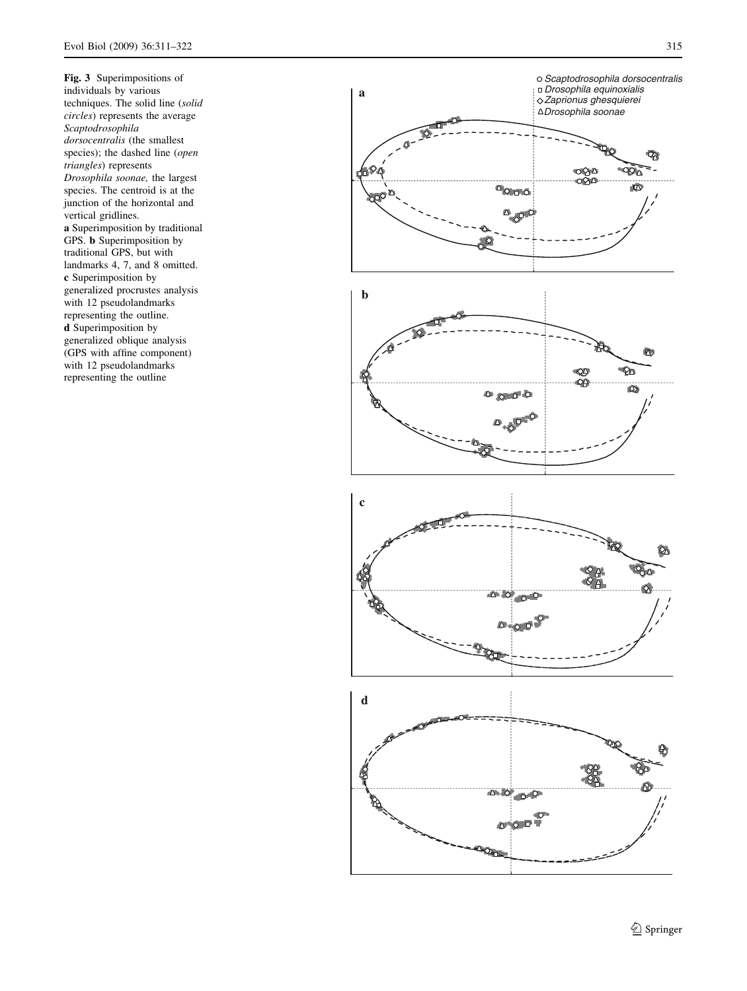<span id="page-4-0"></span>Fig. 3 Superimpositions of individuals by various techniques. The solid line (solid circles) represents the average Scaptodrosophila dorsocentralis (the smallest species); the dashed line (open triangles) represents Drosophila soonae, the largest species. The centroid is at the junction of the horizontal and vertical gridlines. a Superimposition by traditional GPS. b Superimposition by traditional GPS, but with landmarks 4, 7, and 8 omitted. c Superimposition by generalized procrustes analysis with 12 pseudolandmarks representing the outline. d Superimposition by generalized oblique analysis (GPS with affine component) with 12 pseudolandmarks representing the outline

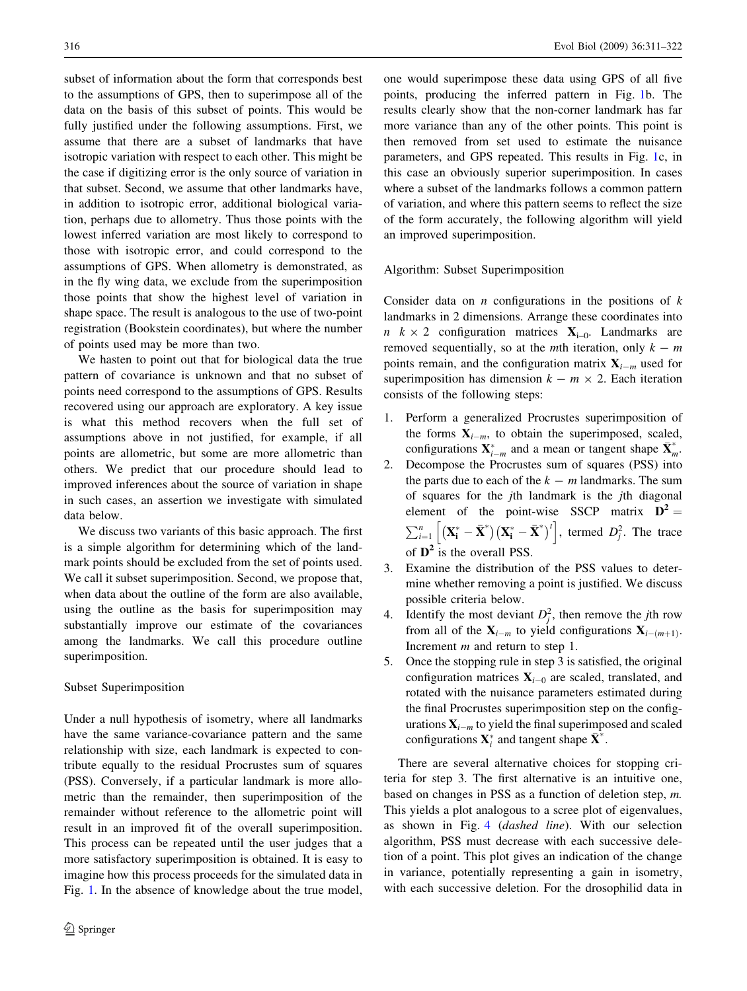subset of information about the form that corresponds best to the assumptions of GPS, then to superimpose all of the data on the basis of this subset of points. This would be fully justified under the following assumptions. First, we assume that there are a subset of landmarks that have isotropic variation with respect to each other. This might be the case if digitizing error is the only source of variation in that subset. Second, we assume that other landmarks have, in addition to isotropic error, additional biological variation, perhaps due to allometry. Thus those points with the lowest inferred variation are most likely to correspond to those with isotropic error, and could correspond to the assumptions of GPS. When allometry is demonstrated, as in the fly wing data, we exclude from the superimposition those points that show the highest level of variation in shape space. The result is analogous to the use of two-point registration (Bookstein coordinates), but where the number of points used may be more than two.

We hasten to point out that for biological data the true pattern of covariance is unknown and that no subset of points need correspond to the assumptions of GPS. Results recovered using our approach are exploratory. A key issue is what this method recovers when the full set of assumptions above in not justified, for example, if all points are allometric, but some are more allometric than others. We predict that our procedure should lead to improved inferences about the source of variation in shape in such cases, an assertion we investigate with simulated data below.

We discuss two variants of this basic approach. The first is a simple algorithm for determining which of the landmark points should be excluded from the set of points used. We call it subset superimposition. Second, we propose that, when data about the outline of the form are also available, using the outline as the basis for superimposition may substantially improve our estimate of the covariances among the landmarks. We call this procedure outline superimposition.

#### Subset Superimposition

Under a null hypothesis of isometry, where all landmarks have the same variance-covariance pattern and the same relationship with size, each landmark is expected to contribute equally to the residual Procrustes sum of squares (PSS). Conversely, if a particular landmark is more allometric than the remainder, then superimposition of the remainder without reference to the allometric point will result in an improved fit of the overall superimposition. This process can be repeated until the user judges that a more satisfactory superimposition is obtained. It is easy to imagine how this process proceeds for the simulated data in Fig. [1](#page-2-0). In the absence of knowledge about the true model,

one would superimpose these data using GPS of all five points, producing the inferred pattern in Fig. [1b](#page-2-0). The results clearly show that the non-corner landmark has far more variance than any of the other points. This point is then removed from set used to estimate the nuisance parameters, and GPS repeated. This results in Fig. [1](#page-2-0)c, in this case an obviously superior superimposition. In cases where a subset of the landmarks follows a common pattern of variation, and where this pattern seems to reflect the size of the form accurately, the following algorithm will yield an improved superimposition.

Algorithm: Subset Superimposition

Consider data on  $n$  configurations in the positions of  $k$ landmarks in 2 dimensions. Arrange these coordinates into  $n \times 2$  configuration matrices  $X_{i=0}$ . Landmarks are removed sequentially, so at the *mth* iteration, only  $k - m$ points remain, and the configuration matrix  $X_{i-m}$  used for superimposition has dimension  $k - m \times 2$ . Each iteration consists of the following steps:

- 1. Perform a generalized Procrustes superimposition of the forms  $X_{i-m}$ , to obtain the superimposed, scaled, configurations  $\mathbf{X}_{i-m}^*$  and a mean or tangent shape  $\bar{\mathbf{X}}_m^*$ .
- 2. Decompose the Procrustes sum of squares (PSS) into the parts due to each of the  $k - m$  landmarks. The sum of squares for the jth landmark is the jth diagonal element of the point-wise SSCP matrix  $D^2 =$  $\sum_{i=1}^{n} \left[ (\mathbf{X}_{i}^{*} - \bar{\mathbf{X}}^{*})(\mathbf{X}_{i}^{*} - \bar{\mathbf{X}}^{*})^{t} \right]$ , termed  $D_{j}^{2}$ . The trace of  $\mathbf{D}^2$  is the overall PSS.
- 3. Examine the distribution of the PSS values to determine whether removing a point is justified. We discuss possible criteria below.
- 4. Identify the most deviant  $D_j^2$ , then remove the *j*th row from all of the  $X_{i-m}$  to yield configurations  $X_{i-(m+1)}$ . Increment *m* and return to step 1.
- 5. Once the stopping rule in step 3 is satisfied, the original configuration matrices  $\mathbf{X}_{i-0}$  are scaled, translated, and rotated with the nuisance parameters estimated during the final Procrustes superimposition step on the configurations  $\mathbf{X}_{i-m}$  to yield the final superimposed and scaled configurations  $\mathbf{X}_i^*$  and tangent shape  $\bar{\mathbf{X}}^*$ .

There are several alternative choices for stopping criteria for step 3. The first alternative is an intuitive one, based on changes in PSS as a function of deletion step, m. This yields a plot analogous to a scree plot of eigenvalues, as shown in Fig. [4](#page-6-0) (dashed line). With our selection algorithm, PSS must decrease with each successive deletion of a point. This plot gives an indication of the change in variance, potentially representing a gain in isometry, with each successive deletion. For the drosophilid data in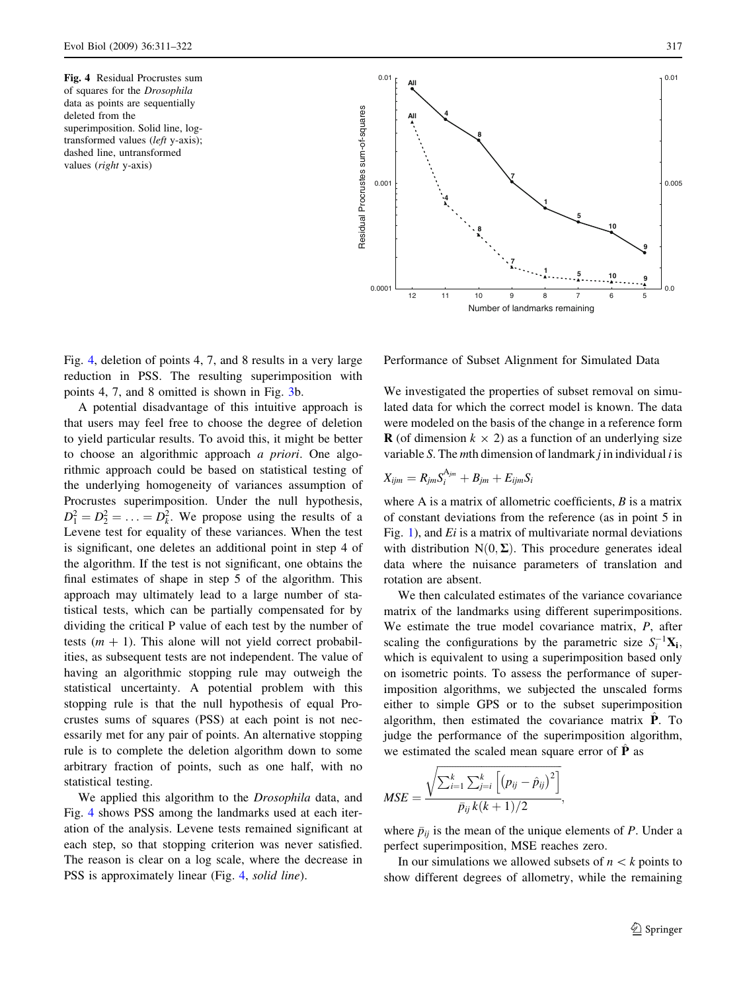of squares for the Drosophila data as points are sequentially deleted from the superimposition. Solid line, logtransformed values (left y-axis); dashed line, untransformed values (right y-axis)

<span id="page-6-0"></span>

Fig. 4, deletion of points 4, 7, and 8 results in a very large reduction in PSS. The resulting superimposition with points 4, 7, and 8 omitted is shown in Fig. [3b](#page-4-0).

A potential disadvantage of this intuitive approach is that users may feel free to choose the degree of deletion to yield particular results. To avoid this, it might be better to choose an algorithmic approach a priori. One algorithmic approach could be based on statistical testing of the underlying homogeneity of variances assumption of Procrustes superimposition. Under the null hypothesis,  $D_1^2 = D_2^2 = \ldots = D_k^2$ . We propose using the results of a Levene test for equality of these variances. When the test is significant, one deletes an additional point in step 4 of the algorithm. If the test is not significant, one obtains the final estimates of shape in step 5 of the algorithm. This approach may ultimately lead to a large number of statistical tests, which can be partially compensated for by dividing the critical P value of each test by the number of tests  $(m + 1)$ . This alone will not yield correct probabilities, as subsequent tests are not independent. The value of having an algorithmic stopping rule may outweigh the statistical uncertainty. A potential problem with this stopping rule is that the null hypothesis of equal Procrustes sums of squares (PSS) at each point is not necessarily met for any pair of points. An alternative stopping rule is to complete the deletion algorithm down to some arbitrary fraction of points, such as one half, with no statistical testing.

We applied this algorithm to the *Drosophila* data, and Fig. 4 shows PSS among the landmarks used at each iteration of the analysis. Levene tests remained significant at each step, so that stopping criterion was never satisfied. The reason is clear on a log scale, where the decrease in PSS is approximately linear (Fig. 4, solid line).

Performance of Subset Alignment for Simulated Data

We investigated the properties of subset removal on simulated data for which the correct model is known. The data were modeled on the basis of the change in a reference form **R** (of dimension  $k \times 2$ ) as a function of an underlying size variable S. The mth dimension of landmark  $j$  in individual  $i$  is

$$
X_{ijm} = R_{jm} S_i^{A_{jm}} + B_{jm} + E_{ijm} S_i
$$

where A is a matrix of allometric coefficients,  $B$  is a matrix of constant deviations from the reference (as in point 5 in Fig. [1](#page-2-0)), and  $Ei$  is a matrix of multivariate normal deviations with distribution  $N(0, \Sigma)$ . This procedure generates ideal data where the nuisance parameters of translation and rotation are absent.

We then calculated estimates of the variance covariance matrix of the landmarks using different superimpositions. We estimate the true model covariance matrix, P, after scaling the configurations by the parametric size  $S_i^{-1}$ **X**<sub>i</sub>, which is equivalent to using a superimposition based only on isometric points. To assess the performance of superimposition algorithms, we subjected the unscaled forms either to simple GPS or to the subset superimposition algorithm, then estimated the covariance matrix  $\hat{P}$ . To judge the performance of the superimposition algorithm, we estimated the scaled mean square error of  $\hat{P}$  as

$$
MSE = \frac{\sqrt{\sum_{i=1}^{k} \sum_{j=i}^{k} \left[ (p_{ij} - \hat{p}_{ij})^{2} \right]}}{\bar{p}_{ij} k(k+1)/2},
$$

where  $\bar{p}_{ij}$  is the mean of the unique elements of P. Under a perfect superimposition, MSE reaches zero.

In our simulations we allowed subsets of  $n < k$  points to show different degrees of allometry, while the remaining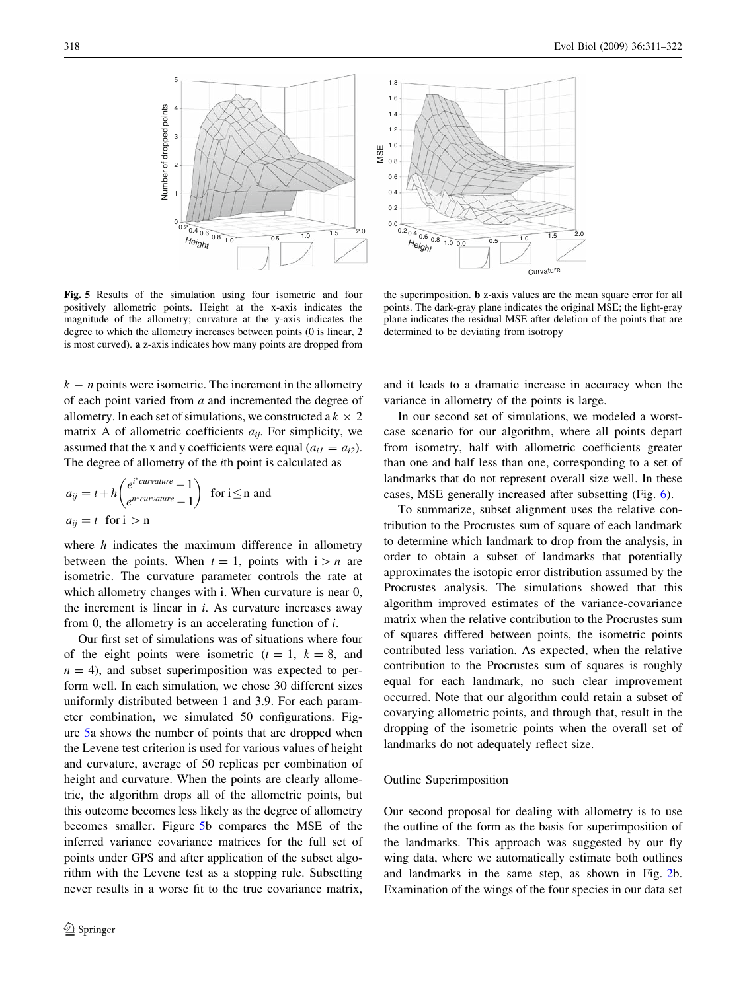<span id="page-7-0"></span>

Fig. 5 Results of the simulation using four isometric and four positively allometric points. Height at the x-axis indicates the magnitude of the allometry; curvature at the y-axis indicates the degree to which the allometry increases between points (0 is linear, 2 is most curved). a z-axis indicates how many points are dropped from

the superimposition. b z-axis values are the mean square error for all points. The dark-gray plane indicates the original MSE; the light-gray plane indicates the residual MSE after deletion of the points that are determined to be deviating from isotropy

 $k - n$  points were isometric. The increment in the allometry of each point varied from a and incremented the degree of allometry. In each set of simulations, we constructed a  $k \times 2$ matrix A of allometric coefficients  $a_{ii}$ . For simplicity, we assumed that the x and y coefficients were equal  $(a_{i1} = a_{i2})$ . The degree of allometry of the ith point is calculated as

$$
a_{ij} = t + h \left( \frac{e^{i^* \text{curvature}} - 1}{e^{n^* \text{curvature}} - 1} \right) \text{ for } i \le n \text{ and}
$$
  

$$
a_{ij} = t \text{ for } i > n
$$

where  $h$  indicates the maximum difference in allometry between the points. When  $t = 1$ , points with  $i > n$  are isometric. The curvature parameter controls the rate at which allometry changes with i. When curvature is near 0, the increment is linear in  $i$ . As curvature increases away from 0, the allometry is an accelerating function of i.

Our first set of simulations was of situations where four of the eight points were isometric  $(t = 1, k = 8,$  and  $n = 4$ ), and subset superimposition was expected to perform well. In each simulation, we chose 30 different sizes uniformly distributed between 1 and 3.9. For each parameter combination, we simulated 50 configurations. Figure 5a shows the number of points that are dropped when the Levene test criterion is used for various values of height and curvature, average of 50 replicas per combination of height and curvature. When the points are clearly allometric, the algorithm drops all of the allometric points, but this outcome becomes less likely as the degree of allometry becomes smaller. Figure 5b compares the MSE of the inferred variance covariance matrices for the full set of points under GPS and after application of the subset algorithm with the Levene test as a stopping rule. Subsetting never results in a worse fit to the true covariance matrix,

and it leads to a dramatic increase in accuracy when the variance in allometry of the points is large.

In our second set of simulations, we modeled a worstcase scenario for our algorithm, where all points depart from isometry, half with allometric coefficients greater than one and half less than one, corresponding to a set of landmarks that do not represent overall size well. In these cases, MSE generally increased after subsetting (Fig. [6\)](#page-8-0).

To summarize, subset alignment uses the relative contribution to the Procrustes sum of square of each landmark to determine which landmark to drop from the analysis, in order to obtain a subset of landmarks that potentially approximates the isotopic error distribution assumed by the Procrustes analysis. The simulations showed that this algorithm improved estimates of the variance-covariance matrix when the relative contribution to the Procrustes sum of squares differed between points, the isometric points contributed less variation. As expected, when the relative contribution to the Procrustes sum of squares is roughly equal for each landmark, no such clear improvement occurred. Note that our algorithm could retain a subset of covarying allometric points, and through that, result in the dropping of the isometric points when the overall set of landmarks do not adequately reflect size.

#### Outline Superimposition

Our second proposal for dealing with allometry is to use the outline of the form as the basis for superimposition of the landmarks. This approach was suggested by our fly wing data, where we automatically estimate both outlines and landmarks in the same step, as shown in Fig. [2b](#page-3-0). Examination of the wings of the four species in our data set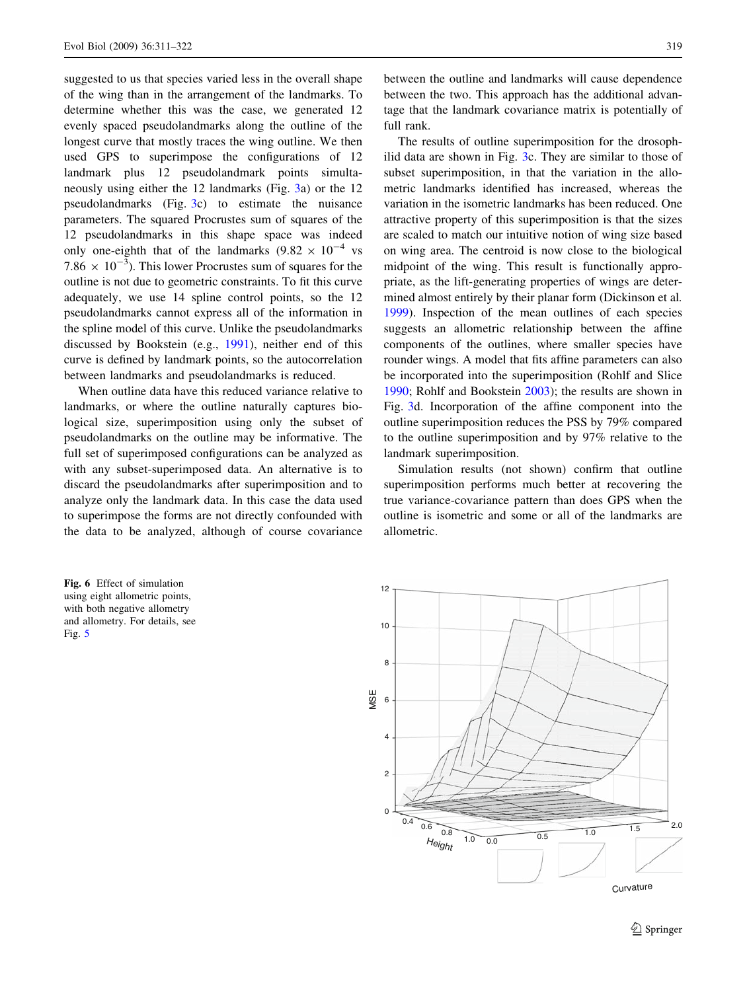<span id="page-8-0"></span>suggested to us that species varied less in the overall shape of the wing than in the arrangement of the landmarks. To determine whether this was the case, we generated 12 evenly spaced pseudolandmarks along the outline of the longest curve that mostly traces the wing outline. We then used GPS to superimpose the configurations of 12 landmark plus 12 pseudolandmark points simultaneously using either the 12 landmarks (Fig. [3a](#page-4-0)) or the 12 pseudolandmarks (Fig. [3](#page-4-0)c) to estimate the nuisance parameters. The squared Procrustes sum of squares of the 12 pseudolandmarks in this shape space was indeed only one-eighth that of the landmarks  $(9.82 \times 10^{-4} \text{ vs }$ 7.86  $\times$  10<sup>-3</sup>). This lower Procrustes sum of squares for the outline is not due to geometric constraints. To fit this curve adequately, we use 14 spline control points, so the 12 pseudolandmarks cannot express all of the information in the spline model of this curve. Unlike the pseudolandmarks discussed by Bookstein (e.g., [1991](#page-11-0)), neither end of this curve is defined by landmark points, so the autocorrelation between landmarks and pseudolandmarks is reduced.

When outline data have this reduced variance relative to landmarks, or where the outline naturally captures biological size, superimposition using only the subset of pseudolandmarks on the outline may be informative. The full set of superimposed configurations can be analyzed as with any subset-superimposed data. An alternative is to discard the pseudolandmarks after superimposition and to analyze only the landmark data. In this case the data used to superimpose the forms are not directly confounded with the data to be analyzed, although of course covariance

Fig. 6 Effect of simulation using eight allometric points, with both negative allometry and allometry. For details, see Fig. [5](#page-7-0)

between the outline and landmarks will cause dependence between the two. This approach has the additional advantage that the landmark covariance matrix is potentially of full rank.

The results of outline superimposition for the drosophilid data are shown in Fig. [3](#page-4-0)c. They are similar to those of subset superimposition, in that the variation in the allometric landmarks identified has increased, whereas the variation in the isometric landmarks has been reduced. One attractive property of this superimposition is that the sizes are scaled to match our intuitive notion of wing size based on wing area. The centroid is now close to the biological midpoint of the wing. This result is functionally appropriate, as the lift-generating properties of wings are determined almost entirely by their planar form (Dickinson et al. [1999](#page-11-0)). Inspection of the mean outlines of each species suggests an allometric relationship between the affine components of the outlines, where smaller species have rounder wings. A model that fits affine parameters can also be incorporated into the superimposition (Rohlf and Slice [1990](#page-11-0); Rohlf and Bookstein [2003\)](#page-11-0); the results are shown in Fig. [3](#page-4-0)d. Incorporation of the affine component into the outline superimposition reduces the PSS by 79% compared to the outline superimposition and by 97% relative to the landmark superimposition.

Simulation results (not shown) confirm that outline superimposition performs much better at recovering the true variance-covariance pattern than does GPS when the outline is isometric and some or all of the landmarks are allometric.

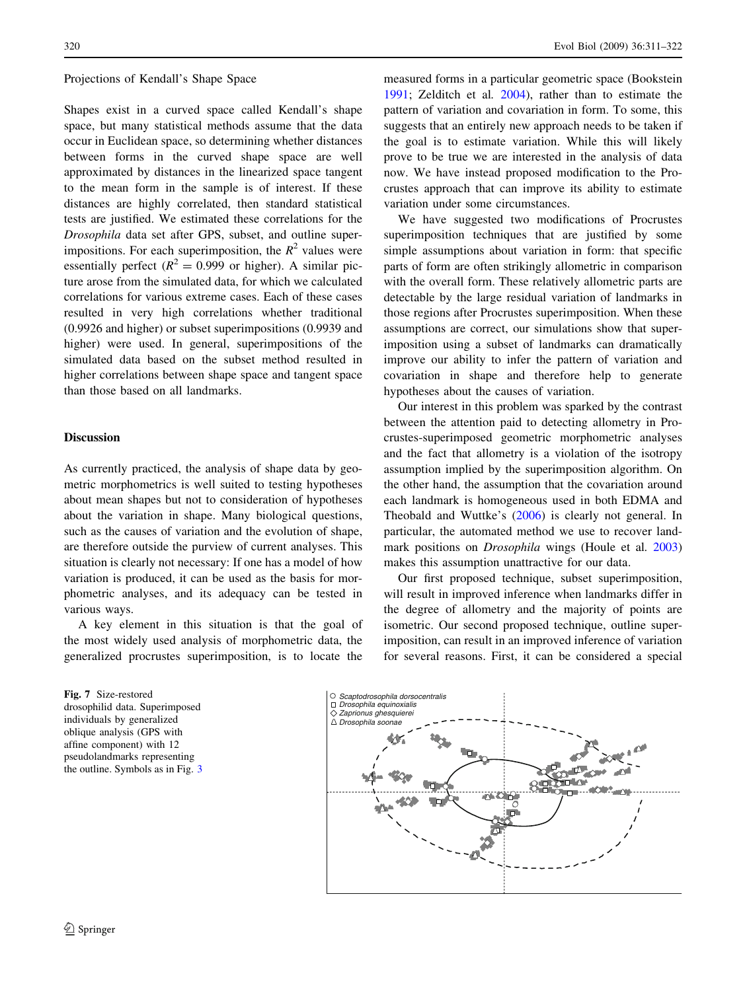#### <span id="page-9-0"></span>Projections of Kendall's Shape Space

Shapes exist in a curved space called Kendall's shape space, but many statistical methods assume that the data occur in Euclidean space, so determining whether distances between forms in the curved shape space are well approximated by distances in the linearized space tangent to the mean form in the sample is of interest. If these distances are highly correlated, then standard statistical tests are justified. We estimated these correlations for the Drosophila data set after GPS, subset, and outline superimpositions. For each superimposition, the  $R^2$  values were essentially perfect ( $R^2 = 0.999$  or higher). A similar picture arose from the simulated data, for which we calculated correlations for various extreme cases. Each of these cases resulted in very high correlations whether traditional (0.9926 and higher) or subset superimpositions (0.9939 and higher) were used. In general, superimpositions of the simulated data based on the subset method resulted in higher correlations between shape space and tangent space than those based on all landmarks.

# Discussion

As currently practiced, the analysis of shape data by geometric morphometrics is well suited to testing hypotheses about mean shapes but not to consideration of hypotheses about the variation in shape. Many biological questions, such as the causes of variation and the evolution of shape, are therefore outside the purview of current analyses. This situation is clearly not necessary: If one has a model of how variation is produced, it can be used as the basis for morphometric analyses, and its adequacy can be tested in various ways.

A key element in this situation is that the goal of the most widely used analysis of morphometric data, the generalized procrustes superimposition, is to locate the

Fig. 7 Size-restored drosophilid data. Superimposed individuals by generalized oblique analysis (GPS with affine component) with 12 pseudolandmarks representing the outline. Symbols as in Fig. [3](#page-4-0)

measured forms in a particular geometric space (Bookstein [1991](#page-11-0); Zelditch et al. [2004](#page-11-0)), rather than to estimate the pattern of variation and covariation in form. To some, this suggests that an entirely new approach needs to be taken if the goal is to estimate variation. While this will likely prove to be true we are interested in the analysis of data now. We have instead proposed modification to the Procrustes approach that can improve its ability to estimate variation under some circumstances.

We have suggested two modifications of Procrustes superimposition techniques that are justified by some simple assumptions about variation in form: that specific parts of form are often strikingly allometric in comparison with the overall form. These relatively allometric parts are detectable by the large residual variation of landmarks in those regions after Procrustes superimposition. When these assumptions are correct, our simulations show that superimposition using a subset of landmarks can dramatically improve our ability to infer the pattern of variation and covariation in shape and therefore help to generate hypotheses about the causes of variation.

Our interest in this problem was sparked by the contrast between the attention paid to detecting allometry in Procrustes-superimposed geometric morphometric analyses and the fact that allometry is a violation of the isotropy assumption implied by the superimposition algorithm. On the other hand, the assumption that the covariation around each landmark is homogeneous used in both EDMA and Theobald and Wuttke's ([2006\)](#page-11-0) is clearly not general. In particular, the automated method we use to recover landmark positions on Drosophila wings (Houle et al. [2003\)](#page-11-0) makes this assumption unattractive for our data.

Our first proposed technique, subset superimposition, will result in improved inference when landmarks differ in the degree of allometry and the majority of points are isometric. Our second proposed technique, outline superimposition, can result in an improved inference of variation for several reasons. First, it can be considered a special

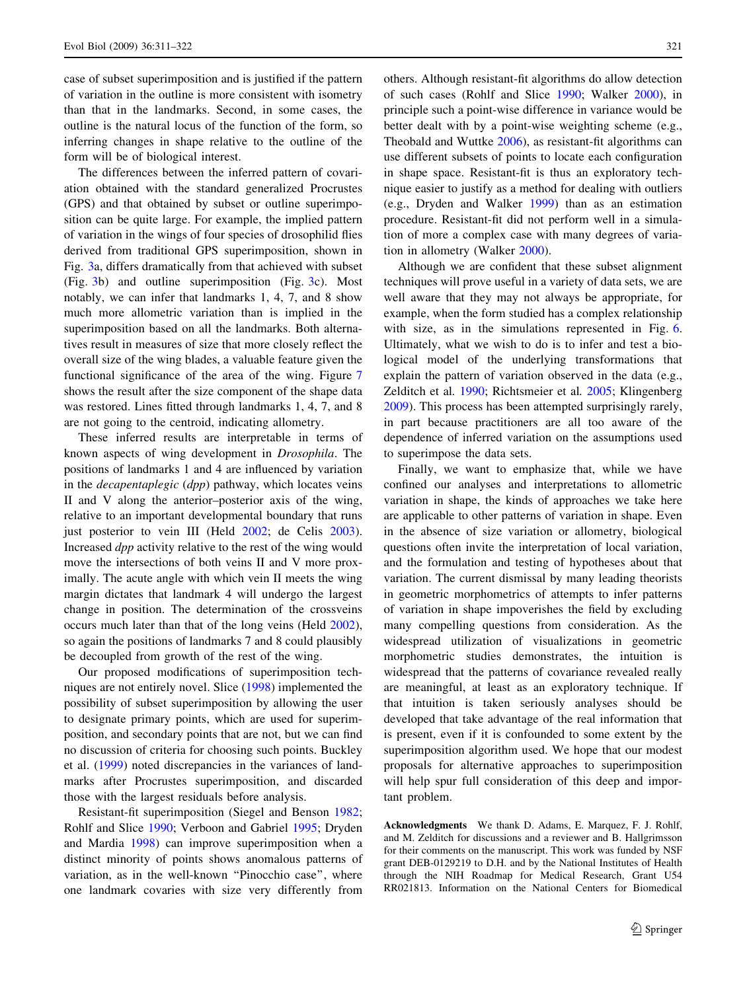case of subset superimposition and is justified if the pattern of variation in the outline is more consistent with isometry than that in the landmarks. Second, in some cases, the outline is the natural locus of the function of the form, so inferring changes in shape relative to the outline of the form will be of biological interest.

The differences between the inferred pattern of covariation obtained with the standard generalized Procrustes (GPS) and that obtained by subset or outline superimposition can be quite large. For example, the implied pattern of variation in the wings of four species of drosophilid flies derived from traditional GPS superimposition, shown in Fig. [3](#page-4-0)a, differs dramatically from that achieved with subset (Fig. [3](#page-4-0)b) and outline superimposition (Fig. [3c](#page-4-0)). Most notably, we can infer that landmarks 1, 4, 7, and 8 show much more allometric variation than is implied in the superimposition based on all the landmarks. Both alternatives result in measures of size that more closely reflect the overall size of the wing blades, a valuable feature given the functional significance of the area of the wing. Figure [7](#page-9-0) shows the result after the size component of the shape data was restored. Lines fitted through landmarks 1, 4, 7, and 8 are not going to the centroid, indicating allometry.

These inferred results are interpretable in terms of known aspects of wing development in Drosophila. The positions of landmarks 1 and 4 are influenced by variation in the *decapentaplegic* (*dpp*) pathway, which locates veins II and V along the anterior–posterior axis of the wing, relative to an important developmental boundary that runs just posterior to vein III (Held [2002](#page-11-0); de Celis [2003](#page-11-0)). Increased dpp activity relative to the rest of the wing would move the intersections of both veins II and V more proximally. The acute angle with which vein II meets the wing margin dictates that landmark 4 will undergo the largest change in position. The determination of the crossveins occurs much later than that of the long veins (Held [2002](#page-11-0)), so again the positions of landmarks 7 and 8 could plausibly be decoupled from growth of the rest of the wing.

Our proposed modifications of superimposition techniques are not entirely novel. Slice [\(1998](#page-11-0)) implemented the possibility of subset superimposition by allowing the user to designate primary points, which are used for superimposition, and secondary points that are not, but we can find no discussion of criteria for choosing such points. Buckley et al. [\(1999](#page-11-0)) noted discrepancies in the variances of landmarks after Procrustes superimposition, and discarded those with the largest residuals before analysis.

Resistant-fit superimposition (Siegel and Benson [1982](#page-11-0); Rohlf and Slice [1990;](#page-11-0) Verboon and Gabriel [1995](#page-11-0); Dryden and Mardia [1998\)](#page-11-0) can improve superimposition when a distinct minority of points shows anomalous patterns of variation, as in the well-known ''Pinocchio case'', where one landmark covaries with size very differently from others. Although resistant-fit algorithms do allow detection of such cases (Rohlf and Slice [1990;](#page-11-0) Walker [2000\)](#page-11-0), in principle such a point-wise difference in variance would be better dealt with by a point-wise weighting scheme (e.g., Theobald and Wuttke [2006\)](#page-11-0), as resistant-fit algorithms can use different subsets of points to locate each configuration in shape space. Resistant-fit is thus an exploratory technique easier to justify as a method for dealing with outliers (e.g., Dryden and Walker [1999](#page-11-0)) than as an estimation procedure. Resistant-fit did not perform well in a simulation of more a complex case with many degrees of variation in allometry (Walker [2000](#page-11-0)).

Although we are confident that these subset alignment techniques will prove useful in a variety of data sets, we are well aware that they may not always be appropriate, for example, when the form studied has a complex relationship with size, as in the simulations represented in Fig. [6.](#page-8-0) Ultimately, what we wish to do is to infer and test a biological model of the underlying transformations that explain the pattern of variation observed in the data (e.g., Zelditch et al. [1990;](#page-11-0) Richtsmeier et al. [2005](#page-11-0); Klingenberg [2009](#page-11-0)). This process has been attempted surprisingly rarely, in part because practitioners are all too aware of the dependence of inferred variation on the assumptions used to superimpose the data sets.

Finally, we want to emphasize that, while we have confined our analyses and interpretations to allometric variation in shape, the kinds of approaches we take here are applicable to other patterns of variation in shape. Even in the absence of size variation or allometry, biological questions often invite the interpretation of local variation, and the formulation and testing of hypotheses about that variation. The current dismissal by many leading theorists in geometric morphometrics of attempts to infer patterns of variation in shape impoverishes the field by excluding many compelling questions from consideration. As the widespread utilization of visualizations in geometric morphometric studies demonstrates, the intuition is widespread that the patterns of covariance revealed really are meaningful, at least as an exploratory technique. If that intuition is taken seriously analyses should be developed that take advantage of the real information that is present, even if it is confounded to some extent by the superimposition algorithm used. We hope that our modest proposals for alternative approaches to superimposition will help spur full consideration of this deep and important problem.

Acknowledgments We thank D. Adams, E. Marquez, F. J. Rohlf, and M. Zelditch for discussions and a reviewer and B. Hallgrimsson for their comments on the manuscript. This work was funded by NSF grant DEB-0129219 to D.H. and by the National Institutes of Health through the NIH Roadmap for Medical Research, Grant U54 RR021813. Information on the National Centers for Biomedical